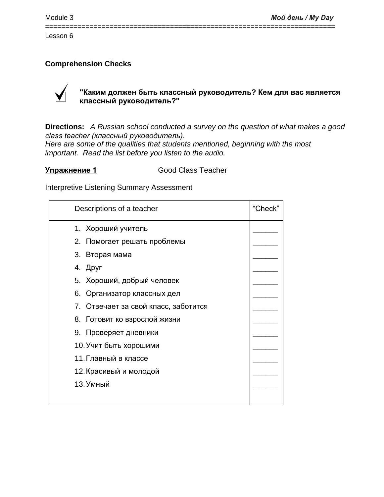# **Comprehension Checks**



# **"Каким должен быть классный руководитель? Кем для вас является классный руководитель?"**

**Directions:** *A Russian school conducted a survey on the question of what makes a good class teacher (классный руководитель). Here are some of the qualities that students mentioned, beginning with the most important. Read the list before you listen to the audio.*

========================================================================

**Упражнение 1** Good Class Teacher

Interpretive Listening Summary Assessment

| Descriptions of a teacher            | "Check" |
|--------------------------------------|---------|
| 1. Хороший учитель                   |         |
| 2. Помогает решать проблемы          |         |
| 3. Вторая мама                       |         |
| 4. Друг                              |         |
| 5. Хороший, добрый человек           |         |
| 6. Организатор классных дел          |         |
| 7. Отвечает за свой класс, заботится |         |
| 8. Готовит ко взрослой жизни         |         |
| 9. Проверяет дневники                |         |
| 10. Учит быть хорошими               |         |
| 11. Главный в классе                 |         |
| 12. Красивый и молодой               |         |
| 13. Умный                            |         |
|                                      |         |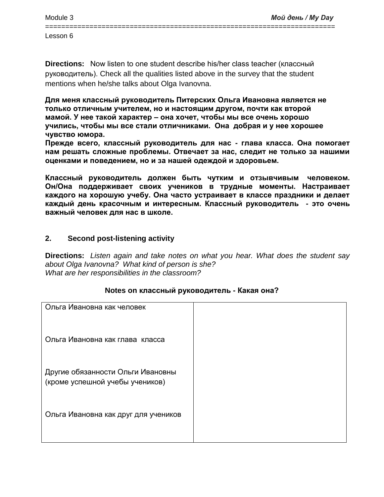========================================================================

Lesson 6

**Directions:** Now listen to one student describe his/her class teacher (классный руководитель). Check all the qualities listed above in the survey that the student mentions when he/she talks about Olga Ivanovna.

**Для меня классный руководитель Питерских Ольга Ивановна является не только отличным учителем, но и настоящим другом, почти как второй мамой. У нее такой характер – она хочет, чтобы мы все очень хорошо учились, чтобы мы все стали отличниками. Она добрая и у нее хорошее чувство юмора.**

**Прежде всего, классный руководитель для нас - глава класса. Она помогает нам решать сложные проблемы. Отвечает за нас, следит не только за нашими оценками и поведением, но и за нашей одеждой и здоровьем.** 

**Классный руководитель должен быть чутким и отзывчивым человеком. Он/Она поддерживает своих учеников в трудные моменты. Настраивает каждого на хорошую учебу. Она часто устраивает в классе праздники и делает каждый день красочным и интересным. Классный руководитель - это очень важный человек для нас в школе.** 

# **2. Second post-listening activity**

**Directions:** *Listen again and take notes on what you hear. What does the student say about Olga Ivanovna? What kind of person is she? What are her responsibilities in the classroom?*

# **Notes on классный руководитель - Какая она?**

| Ольга Ивановна как человек                                           |  |
|----------------------------------------------------------------------|--|
| Ольга Ивановна как глава класса                                      |  |
| Другие обязанности Ольги Ивановны<br>(кроме успешной учебы учеников) |  |
| Ольга Ивановна как друг для учеников                                 |  |
|                                                                      |  |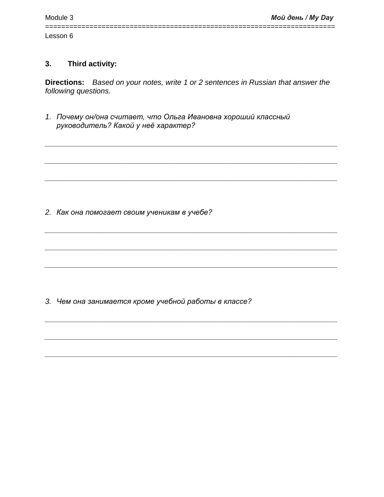#### Third activity:  $3.$

Directions: Based on your notes, write 1 or 2 sentences in Russian that answer the following questions.

1. Почему он/она считает, что Ольга Ивановна хороший классный руководитель? Какой у неё характер?

2. Как она помогает своим ученикам в учебе?

3. Чем она занимается кроме учебной работы в классе?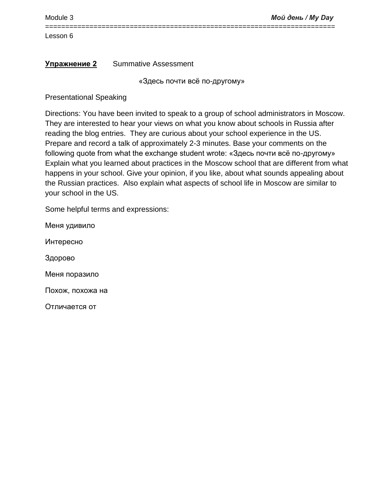Module 3 *Мой день / My Day*

Lesson 6

# **Упражнение 2** Summative Assessment

«Здесь почти всё по-другому»

Presentational Speaking

========================================================================

Directions: You have been invited to speak to a group of school administrators in Moscow. They are interested to hear your views on what you know about schools in Russia after reading the blog entries. They are curious about your school experience in the US. Prepare and record a talk of approximately 2-3 minutes. Base your comments on the following quote from what the exchange student wrote: «Здесь почти всё по-другому» Explain what you learned about practices in the Moscow school that are different from what happens in your school. Give your opinion, if you like, about what sounds appealing about the Russian practices. Also explain what aspects of school life in Moscow are similar to your school in the US.

Some helpful terms and expressions:

Меня удивило Интересно Здорово Меня поразило Похож, похожа на Отличается от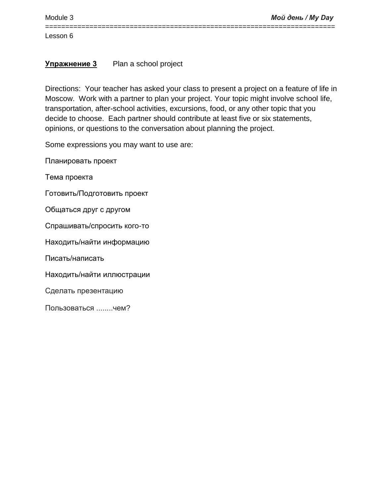# **Упражнение 3** Plan a school project

Directions: Your teacher has asked your class to present a project on a feature of life in Moscow. Work with a partner to plan your project. Your topic might involve school life, transportation, after-school activities, excursions, food, or any other topic that you decide to choose. Each partner should contribute at least five or six statements, opinions, or questions to the conversation about planning the project.

========================================================================

Some expressions you may want to use are:

Планировать проект

Тема проекта

Готовить/Подготовить проект

Общаться друг с другом

Спрашивать/спросить кого-то

Находить/найти информацию

Писать/написать

Находить/найти иллюстрации

Сделать презентацию

Пользоваться ........чем?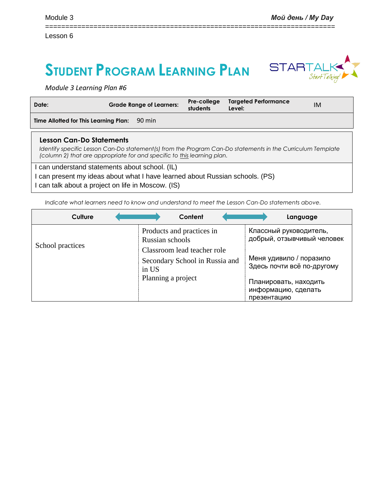# **STUDENT PROGRAM LEARNING PLAN**



*Module 3 Learning Plan #6*

| Date:                                                                                                                                                                              | <b>Grade Range of Learners:</b>                                                                                                                                                       | Pre-college<br>students | <b>Targeted Performance</b><br>Level: | IM |
|------------------------------------------------------------------------------------------------------------------------------------------------------------------------------------|---------------------------------------------------------------------------------------------------------------------------------------------------------------------------------------|-------------------------|---------------------------------------|----|
| Time Allotted for This Learning Plan:                                                                                                                                              | 90 min                                                                                                                                                                                |                         |                                       |    |
| Lesson Can-Do Statements                                                                                                                                                           | Identify specific Lesson Can-Do statement(s) from the Program Can-Do statements in the Curriculum Template<br>(column 2) that are appropriate for and specific to this learning plan. |                         |                                       |    |
| I can understand statements about school. (IL)<br>can present my ideas about what I have learned about Russian schools. (PS)<br>I can talk about a project on life in Moscow. (IS) |                                                                                                                                                                                       |                         |                                       |    |

========================================================================

*Indicate what learners need to know and understand to meet the Lesson Can-Do statements above.* 

| Culture          | Content                                                                | Language                                                    |
|------------------|------------------------------------------------------------------------|-------------------------------------------------------------|
| School practices | Products and practices in<br>Russian schools                           | Классный руководитель,<br>добрый, отзывчивый человек        |
|                  | Classroom lead teacher role<br>Secondary School in Russia and<br>in US | Меня удивило / поразило<br>Здесь почти всё по-другому       |
|                  | Planning a project                                                     | Планировать, находить<br>информацию, сделать<br>презентацию |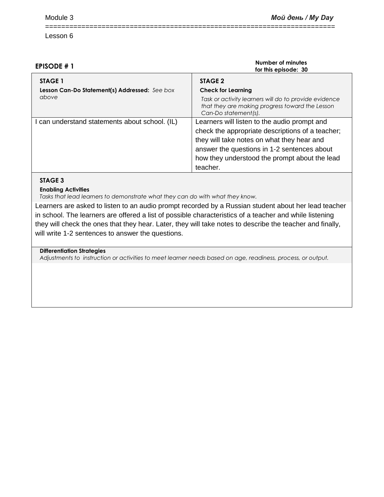| <b>EPISODE #1</b>                                        | Number of minutes<br>for this episode: 30                                                                                                                                                                                                                  |
|----------------------------------------------------------|------------------------------------------------------------------------------------------------------------------------------------------------------------------------------------------------------------------------------------------------------------|
| STAGE 1<br>Lesson Can-Do Statement(s) Addressed: See box | STAGE 2<br><b>Check for Learning</b>                                                                                                                                                                                                                       |
| above                                                    | Task or activity learners will do to provide evidence<br>that they are making progress toward the Lesson<br>Can-Do statement(s).                                                                                                                           |
| can understand statements about school. (IL)             | Learners will listen to the audio prompt and<br>check the appropriate descriptions of a teacher;<br>they will take notes on what they hear and<br>answer the questions in 1-2 sentences about<br>how they understood the prompt about the lead<br>teacher. |

========================================================================

## **STAGE 3**

**Enabling Activities**

*Tasks that lead learners to demonstrate what they can do with what they know.*

Learners are asked to listen to an audio prompt recorded by a Russian student about her lead teacher in school. The learners are offered a list of possible characteristics of a teacher and while listening they will check the ones that they hear. Later, they will take notes to describe the teacher and finally, will write 1-2 sentences to answer the questions.

#### **Differentiation Strategies**

*Adjustments to instruction or activities to meet learner needs based on age, readiness, process, or output.*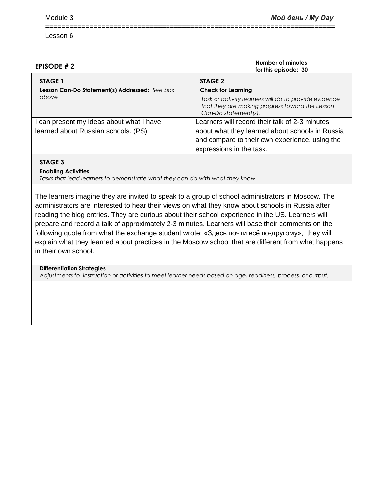| <b>EPISODE #2</b>                                                        | Number of minutes<br>for this episode: 30                                                     |
|--------------------------------------------------------------------------|-----------------------------------------------------------------------------------------------|
| <b>STAGE 1</b><br>Lesson Can-Do Statement(s) Addressed: See box<br>above | STAGE 2<br><b>Check for Learning</b><br>Task or activity learners will do to provide evidence |
|                                                                          | that they are making progress toward the Lesson<br>Can-Do statement(s).                       |
| I can present my ideas about what I have                                 | Learners will record their talk of 2-3 minutes                                                |
| learned about Russian schools. (PS)                                      | about what they learned about schools in Russia                                               |
|                                                                          | and compare to their own experience, using the                                                |
|                                                                          | expressions in the task.                                                                      |

========================================================================

# **STAGE 3**

### **Enabling Activities**

*Tasks that lead learners to demonstrate what they can do with what they know.*

The learners imagine they are invited to speak to a group of school administrators in Moscow. The administrators are interested to hear their views on what they know about schools in Russia after reading the blog entries. They are curious about their school experience in the US. Learners will prepare and record a talk of approximately 2-3 minutes. Learners will base their comments on the following quote from what the exchange student wrote: «Здесь почти всё по-другому», they will explain what they learned about practices in the Moscow school that are different from what happens in their own school.

### **Differentiation Strategies**

*Adjustments to instruction or activities to meet learner needs based on age, readiness, process, or output.*